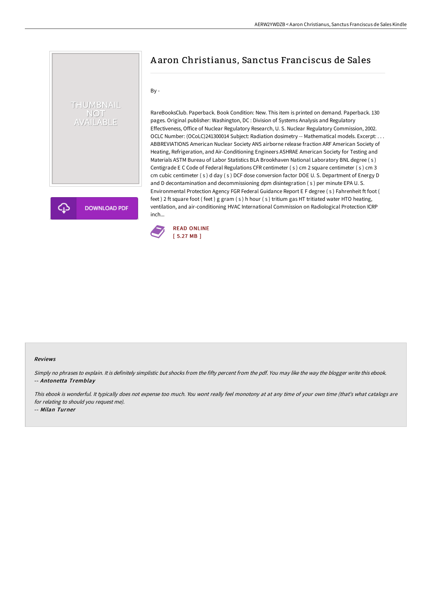## THUMBNAIL NOT<br>AVAILABLE

**DOWNLOAD PDF** 

## A aron Christianus, Sanctus Franciscus de Sales

By -

RareBooksClub. Paperback. Book Condition: New. This item is printed on demand. Paperback. 130 pages. Original publisher: Washington, DC : Division of Systems Analysis and Regulatory Effectiveness, Office of Nuclear Regulatory Research, U. S. Nuclear Regulatory Commission, 2002. OCLC Number: (OCoLC)241300014 Subject: Radiation dosimetry -- Mathematical models. Excerpt: . . . ABBREVIATIONS American Nuclear Society ANS airborne release fraction ARF American Society of Heating, Refrigeration, and Air-Conditioning Engineers ASHRAE American Society for Testing and Materials ASTM Bureau of Labor Statistics BLA Brookhaven National Laboratory BNL degree ( s ) Centigrade E C Code of Federal Regulations CFR centimeter ( s ) cm 2 square centimeter ( s ) cm 3 cm cubic centimeter ( s ) d day ( s ) DCF dose conversion factor DOE U. S. Department of Energy D and D decontamination and decommissioning dpm disintegration ( s ) per minute EPA U. S. Environmental Protection Agency FGR Federal Guidance Report E F degree ( s ) Fahrenheit ft foot ( feet ) 2 ft square foot (feet ) g gram ( s ) h hour ( s ) tritium gas HT tritiated water HTO heating, ventilation, and air-conditioning HVAC International Commission on Radiological Protection ICRP inch...



## Reviews

Simply no phrases to explain. It is definitely simplistic but shocks from the fifty percent from the pdf. You may like the way the blogger write this ebook. -- Antonetta Tremblay

This ebook is wonderful. It typically does not expense too much. You wont really feel monotony at at any time of your own time (that's what catalogs are for relating to should you request me).

-- Milan Turner